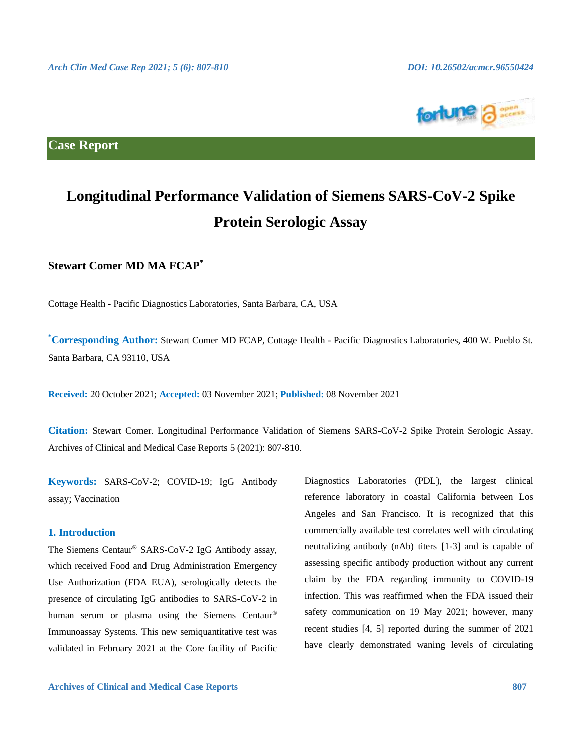

**Case Report**

# **Longitudinal Performance Validation of Siemens SARS-CoV-2 Spike Protein Serologic Assay**

# **Stewart Comer MD MA FCAP\***

Cottage Health - Pacific Diagnostics Laboratories, Santa Barbara, CA, USA

**\*Corresponding Author:** Stewart Comer MD FCAP, Cottage Health - Pacific Diagnostics Laboratories, 400 W. Pueblo St. Santa Barbara, CA 93110, USA

**Received:** 20 October 2021; **Accepted:** 03 November 2021; **Published:** 08 November 2021

**Citation:** Stewart Comer. Longitudinal Performance Validation of Siemens SARS-CoV-2 Spike Protein Serologic Assay. Archives of Clinical and Medical Case Reports 5 (2021): 807-810.

**Keywords:** SARS-CoV-2; COVID-19; IgG Antibody assay; Vaccination

### **1. Introduction**

The Siemens Centaur® SARS-CoV-2 IgG Antibody assay, which received Food and Drug Administration Emergency Use Authorization (FDA EUA), serologically detects the presence of circulating IgG antibodies to SARS-CoV-2 in human serum or plasma using the Siemens Centaur® Immunoassay Systems. This new semiquantitative test was validated in February 2021 at the Core facility of Pacific

Diagnostics Laboratories (PDL), the largest clinical reference laboratory in coastal California between Los Angeles and San Francisco. It is recognized that this commercially available test correlates well with circulating neutralizing antibody (nAb) titers [1-3] and is capable of assessing specific antibody production without any current claim by the FDA regarding immunity to COVID-19 infection. This was reaffirmed when the FDA issued their safety communication on 19 May 2021; however, many recent studies [4, 5] reported during the summer of 2021 have clearly demonstrated waning levels of circulating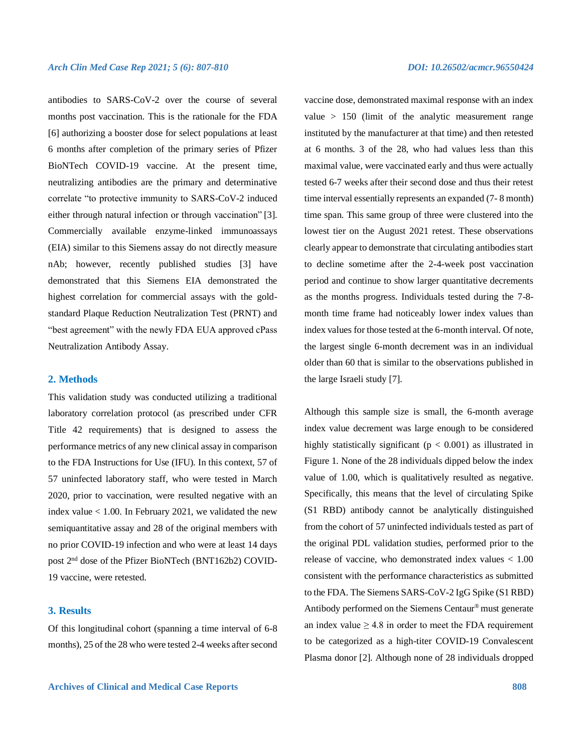antibodies to SARS-CoV-2 over the course of several months post vaccination. This is the rationale for the FDA [6] authorizing a booster dose for select populations at least 6 months after completion of the primary series of Pfizer BioNTech COVID-19 vaccine. At the present time, neutralizing antibodies are the primary and determinative correlate "to protective immunity to SARS-CoV-2 induced either through natural infection or through vaccination" [3]. Commercially available enzyme-linked immunoassays (EIA) similar to this Siemens assay do not directly measure nAb; however, recently published studies [3] have demonstrated that this Siemens EIA demonstrated the highest correlation for commercial assays with the goldstandard Plaque Reduction Neutralization Test (PRNT) and "best agreement" with the newly FDA EUA approved cPass Neutralization Antibody Assay.

### **2. Methods**

This validation study was conducted utilizing a traditional laboratory correlation protocol (as prescribed under CFR Title 42 requirements) that is designed to assess the performance metrics of any new clinical assay in comparison to the FDA Instructions for Use (IFU). In this context, 57 of 57 uninfected laboratory staff, who were tested in March 2020, prior to vaccination, were resulted negative with an index value < 1.00. In February 2021, we validated the new semiquantitative assay and 28 of the original members with no prior COVID-19 infection and who were at least 14 days post 2nd dose of the Pfizer BioNTech (BNT162b2) COVID-19 vaccine, were retested.

# **3. Results**

Of this longitudinal cohort (spanning a time interval of 6-8 months), 25 of the 28 who were tested 2-4 weeks after second vaccine dose, demonstrated maximal response with an index value > 150 (limit of the analytic measurement range instituted by the manufacturer at that time) and then retested at 6 months. 3 of the 28, who had values less than this maximal value, were vaccinated early and thus were actually tested 6-7 weeks after their second dose and thus their retest time interval essentially represents an expanded (7- 8 month) time span. This same group of three were clustered into the lowest tier on the August 2021 retest. These observations clearly appear to demonstrate that circulating antibodies start to decline sometime after the 2-4-week post vaccination period and continue to show larger quantitative decrements as the months progress. Individuals tested during the 7-8 month time frame had noticeably lower index values than index values for those tested at the 6-month interval. Of note, the largest single 6-month decrement was in an individual older than 60 that is similar to the observations published in the large Israeli study [7].

Although this sample size is small, the 6-month average index value decrement was large enough to be considered highly statistically significant ( $p < 0.001$ ) as illustrated in Figure 1. None of the 28 individuals dipped below the index value of 1.00, which is qualitatively resulted as negative. Specifically, this means that the level of circulating Spike (S1 RBD) antibody cannot be analytically distinguished from the cohort of 57 uninfected individuals tested as part of the original PDL validation studies, performed prior to the release of vaccine, who demonstrated index values < 1.00 consistent with the performance characteristics as submitted to the FDA. The Siemens SARS-CoV-2 IgG Spike (S1 RBD) Antibody performed on the Siemens Centaur® must generate an index value  $\geq 4.8$  in order to meet the FDA requirement to be categorized as a high-titer COVID-19 Convalescent Plasma donor [2]. Although none of 28 individuals dropped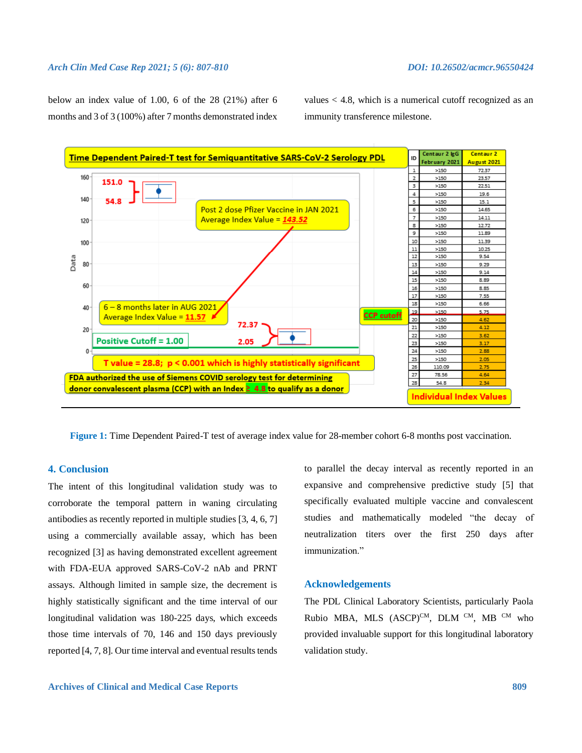### *Arch Clin Med Case Rep 2021; 5 (6): 807-810 DOI: 10.26502/acmcr.96550424*

below an index value of 1.00, 6 of the 28 (21%) after 6 months and 3 of 3 (100%) after 7 months demonstrated index

values  $<$  4.8, which is a numerical cutoff recognized as an immunity transference milestone.



**Figure 1:** Time Dependent Paired-T test of average index value for 28-member cohort 6-8 months post vaccination.

### **4. Conclusion**

The intent of this longitudinal validation study was to corroborate the temporal pattern in waning circulating antibodies as recently reported in multiple studies [3, 4, 6, 7] using a commercially available assay, which has been recognized [3] as having demonstrated excellent agreement with FDA-EUA approved SARS-CoV-2 nAb and PRNT assays. Although limited in sample size, the decrement is highly statistically significant and the time interval of our longitudinal validation was 180-225 days, which exceeds those time intervals of 70, 146 and 150 days previously reported [4, 7, 8]. Our time interval and eventual results tends to parallel the decay interval as recently reported in an expansive and comprehensive predictive study [5] that specifically evaluated multiple vaccine and convalescent studies and mathematically modeled "the decay of neutralization titers over the first 250 days after immunization."

### **Acknowledgements**

The PDL Clinical Laboratory Scientists, particularly Paola Rubio MBA, MLS  $(ASCP)^{CM}$ , DLM CM, MB CM who provided invaluable support for this longitudinal laboratory validation study.